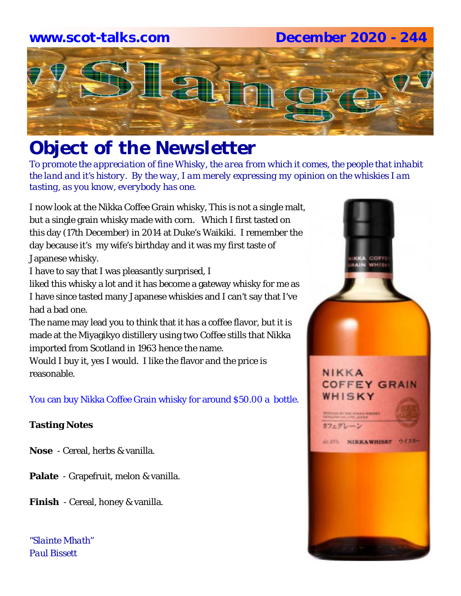## **www.scot-talks.com December 2020 - 244**



# *Object of the Newsletter*

*To promote the appreciation of fine Whisky, the area from which it comes, the people that inhabit the land and it's history. By the way, I am merely expressing my opinion on the whiskies I am tasting, as you know, everybody has one.* 

I now look at the Nikka Coffee Grain whisky, This is not a single malt, but a single grain whisky made with corn. Which I first tasted on this day (17th December) in 2014 at Duke's Waikiki. I remember the day because it's my wife's birthday and it was my first taste of Japanese whisky.

I have to say that I was pleasantly surprised, I

liked this whisky a lot and it has become a gateway whisky for me as I have since tasted many Japanese whiskies and I can't say that I've had a bad one.

The name may lead you to think that it has a coffee flavor, but it is made at the Miyagikyo distillery using two Coffee stills that Nikka imported from Scotland in 1963 hence the name.

Would I buy it, yes I would. I like the flavor and the price is reasonable.

You can buy Nikka Coffee Grain whisky for around \$50.00 a bottle.

#### **Tasting Notes**

- **Nose**  Cereal, herbs & vanilla.
- **Palate**  Grapefruit, melon & vanilla.
- **Finish**  Cereal, honey & vanilla.

*"Slainte Mhath" Paul Bissett*

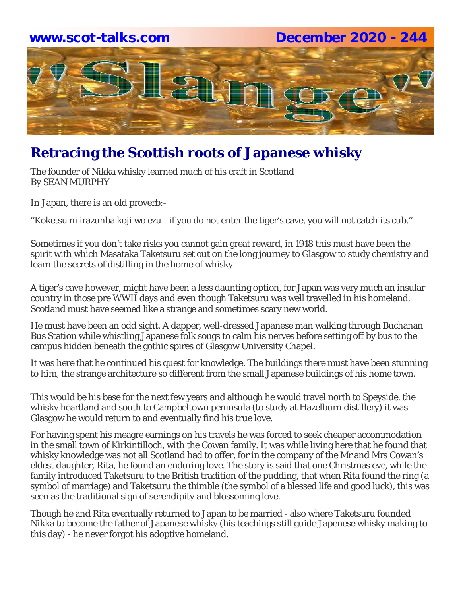#### **www.scot-talks.com December 2020 - 244**



# **Retracing the Scottish roots of Japanese whisky**

The founder of Nikka whisky learned much of his craft in Scotland By SEAN MURPHY

In Japan, there is an old proverb:-

''Koketsu ni irazunba koji wo ezu - if you do not enter the tiger's cave, you will not catch its cub.''

Sometimes if you don't take risks you cannot gain great reward, in 1918 this must have been the spirit with which Masataka Taketsuru set out on the long journey to Glasgow to study chemistry and learn the secrets of distilling in the home of whisky.

A tiger's cave however, might have been a less daunting option, for Japan was very much an insular country in those pre WWII days and even though Taketsuru was well travelled in his homeland, Scotland must have seemed like a strange and sometimes scary new world.

He must have been an odd sight. A dapper, well-dressed Japanese man walking through Buchanan Bus Station while whistling Japanese folk songs to calm his nerves before setting off by bus to the campus hidden beneath the gothic spires of Glasgow University Chapel.

It was here that he continued his quest for knowledge. The buildings there must have been stunning to him, the strange architecture so different from the small Japanese buildings of his home town.

This would be his base for the next few years and although he would travel north to Speyside, the whisky heartland and south to Campbeltown peninsula (to study at Hazelburn distillery) it was Glasgow he would return to and eventually find his true love.

For having spent his meagre earnings on his travels he was forced to seek cheaper accommodation in the small town of Kirkintilloch, with the Cowan family. It was while living here that he found that whisky knowledge was not all Scotland had to offer, for in the company of the Mr and Mrs Cowan's eldest daughter, Rita, he found an enduring love. The story is said that one Christmas eve, while the family introduced Taketsuru to the British tradition of the pudding, that when Rita found the ring (a symbol of marriage) and Taketsuru the thimble (the symbol of a blessed life and good luck), this was seen as the traditional sign of serendipity and blossoming love.

Though he and Rita eventually returned to Japan to be married - also where Taketsuru founded Nikka to become the father of Japanese whisky (his teachings still guide Japenese whisky making to this day) - he never forgot his adoptive homeland.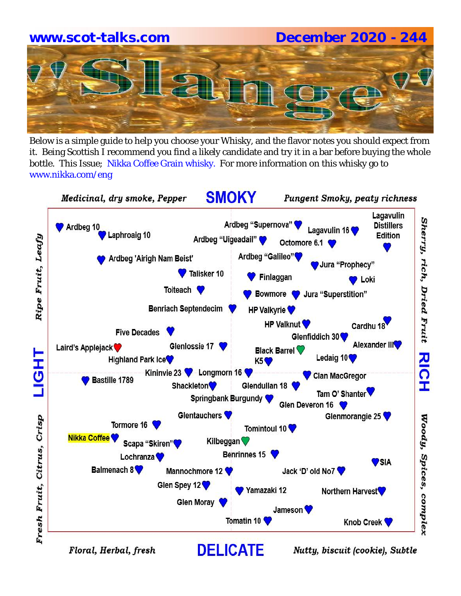# **www.scot-talks.com December 2020 - 244**

Below is a simple guide to help you choose your Whisky, and the flavor notes you should expect from it. Being Scottish I recommend you find a likely candidate and try it in a bar before buying the whole bottle. This Issue; Nikka Coffee Grain whisky. For more information on this whisky go to www.nikka.com/eng



Floral, Herbal, fresh

Nutty, biscuit (cookie), Subtle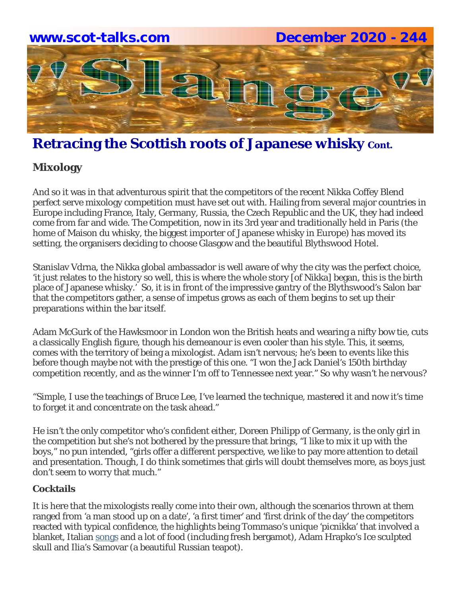

## **Retracing the Scottish roots of Japanese whisky cont.**

#### **Mixology**

And so it was in that adventurous spirit that the competitors of the recent Nikka Coffey Blend perfect serve mixology competition must have set out with. Hailing from several major countries in Europe including France, Italy, Germany, Russia, the Czech Republic and the UK, they had indeed come from far and wide. The Competition, now in its 3rd year and traditionally held in Paris (the home of Maison du whisky, the biggest importer of Japanese whisky in Europe) has moved its setting, the organisers deciding to choose Glasgow and the beautiful Blythswood Hotel.

Stanislav Vdrna, the Nikka global ambassador is well aware of why the city was the perfect choice, 'it just relates to the history so well, this is where the whole story [of Nikka] began, this is the birth place of Japanese whisky.' So, it is in front of the impressive gantry of the Blythswood's Salon bar that the competitors gather, a sense of impetus grows as each of them begins to set up their preparations within the bar itself.

Adam McGurk of the Hawksmoor in London won the British heats and wearing a nifty bow tie, cuts a classically English figure, though his demeanour is even cooler than his style. This, it seems, comes with the territory of being a mixologist. Adam isn't nervous; he's been to events like this before though maybe not with the prestige of this one. "I won the Jack Daniel's 150th birthday competition recently, and as the winner I'm off to Tennessee next year." So why wasn't he nervous?

"Simple, I use the teachings of Bruce Lee, I've learned the technique, mastered it and now it's time to forget it and concentrate on the task ahead."

He isn't the only competitor who's confident either, Doreen Philipp of Germany, is the only girl in the competition but she's not bothered by the pressure that brings, "I like to mix it up with the boys," no pun intended, "girls offer a different perspective, we like to pay more attention to detail and presentation. Though, I do think sometimes that girls will doubt themselves more, as boys just don't seem to worry that much."

#### **Cocktails**

It is here that the mixologists really come into their own, although the scenarios thrown at them ranged from 'a man stood up on a date', 'a first timer' and 'first drink of the day' the competitors reacted with typical confidence, the highlights being Tommaso's unique 'picnikka' that involved a blanket, Italian songs and a lot of food (including fresh bergamot), Adam Hrapko's Ice sculpted skull and Ilia's Samovar (a beautiful Russian teapot).